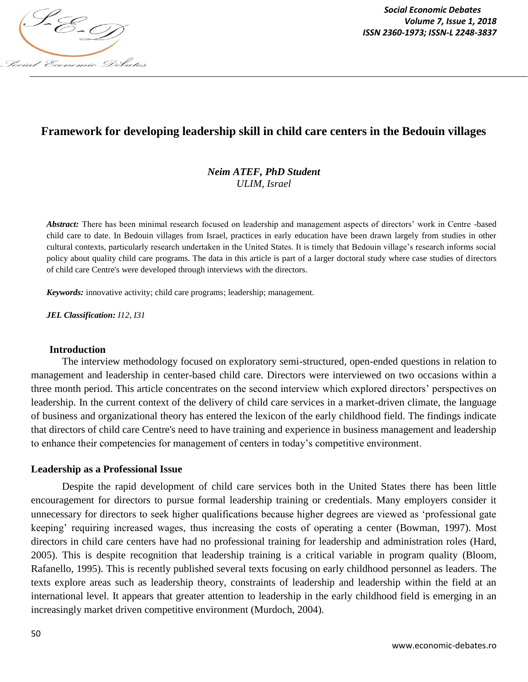

*Social Economic Debates Volume 7, Issue 1, 2018*

# **Framework for developing leadership skill in child care centers in the Bedouin villages**

### *Neim ATEF, PhD Student ULIM, Israel*

Abstract: There has been minimal research focused on leadership and management aspects of directors' work in Centre -based child care to date. In Bedouin villages from Israel, practices in early education have been drawn largely from studies in other cultural contexts, particularly research undertaken in the United States. It is timely that Bedouin village"s research informs social policy about quality child care programs. The data in this article is part of a larger doctoral study where case studies of directors of child care Centre's were developed through interviews with the directors.

*Keywords:* innovative activity; child care programs; leadership; management.

*JEL Classification: I12, I31*

#### **Introduction**

The interview methodology focused on exploratory semi-structured, open-ended questions in relation to management and leadership in center-based child care. Directors were interviewed on two occasions within a three month period. This article concentrates on the second interview which explored directors" perspectives on leadership. In the current context of the delivery of child care services in a market-driven climate, the language of business and organizational theory has entered the lexicon of the early childhood field. The findings indicate that directors of child care Centre's need to have training and experience in business management and leadership to enhance their competencies for management of centers in today"s competitive environment.

#### **Leadership as a Professional Issue**

Despite the rapid development of child care services both in the United States there has been little encouragement for directors to pursue formal leadership training or credentials. Many employers consider it unnecessary for directors to seek higher qualifications because higher degrees are viewed as "professional gate keeping" requiring increased wages, thus increasing the costs of operating a center (Bowman, 1997). Most directors in child care centers have had no professional training for leadership and administration roles (Hard, 2005). This is despite recognition that leadership training is a critical variable in program quality (Bloom, Rafanello, 1995). This is recently published several texts focusing on early childhood personnel as leaders. The texts explore areas such as leadership theory, constraints of leadership and leadership within the field at an international level. It appears that greater attention to leadership in the early childhood field is emerging in an increasingly market driven competitive environment (Murdoch, 2004).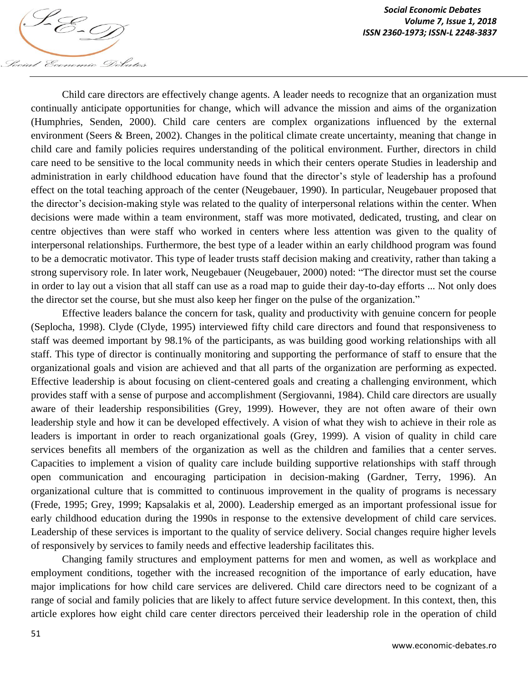

Child care directors are effectively change agents. A leader needs to recognize that an organization must continually anticipate opportunities for change, which will advance the mission and aims of the organization (Humphries, Senden, 2000). Child care centers are complex organizations influenced by the external environment (Seers & Breen, 2002). Changes in the political climate create uncertainty, meaning that change in child care and family policies requires understanding of the political environment. Further, directors in child care need to be sensitive to the local community needs in which their centers operate Studies in leadership and administration in early childhood education have found that the director's style of leadership has a profound effect on the total teaching approach of the center (Neugebauer, 1990). In particular, Neugebauer proposed that the director"s decision-making style was related to the quality of interpersonal relations within the center. When decisions were made within a team environment, staff was more motivated, dedicated, trusting, and clear on centre objectives than were staff who worked in centers where less attention was given to the quality of interpersonal relationships. Furthermore, the best type of a leader within an early childhood program was found to be a democratic motivator. This type of leader trusts staff decision making and creativity, rather than taking a strong supervisory role. In later work, Neugebauer (Neugebauer, 2000) noted: "The director must set the course in order to lay out a vision that all staff can use as a road map to guide their day-to-day efforts ... Not only does the director set the course, but she must also keep her finger on the pulse of the organization."

Effective leaders balance the concern for task, quality and productivity with genuine concern for people (Seplocha, 1998). Clyde (Clyde, 1995) interviewed fifty child care directors and found that responsiveness to staff was deemed important by 98.1% of the participants, as was building good working relationships with all staff. This type of director is continually monitoring and supporting the performance of staff to ensure that the organizational goals and vision are achieved and that all parts of the organization are performing as expected. Effective leadership is about focusing on client-centered goals and creating a challenging environment, which provides staff with a sense of purpose and accomplishment (Sergiovanni, 1984). Child care directors are usually aware of their leadership responsibilities (Grey, 1999). However, they are not often aware of their own leadership style and how it can be developed effectively. A vision of what they wish to achieve in their role as leaders is important in order to reach organizational goals (Grey, 1999). A vision of quality in child care services benefits all members of the organization as well as the children and families that a center serves. Capacities to implement a vision of quality care include building supportive relationships with staff through open communication and encouraging participation in decision-making (Gardner, Terry, 1996). An organizational culture that is committed to continuous improvement in the quality of programs is necessary (Frede, 1995; Grey, 1999; Kapsalakis et al, 2000). Leadership emerged as an important professional issue for early childhood education during the 1990s in response to the extensive development of child care services. Leadership of these services is important to the quality of service delivery. Social changes require higher levels of responsively by services to family needs and effective leadership facilitates this.

Changing family structures and employment patterns for men and women, as well as workplace and employment conditions, together with the increased recognition of the importance of early education, have major implications for how child care services are delivered. Child care directors need to be cognizant of a range of social and family policies that are likely to affect future service development. In this context, then, this article explores how eight child care center directors perceived their leadership role in the operation of child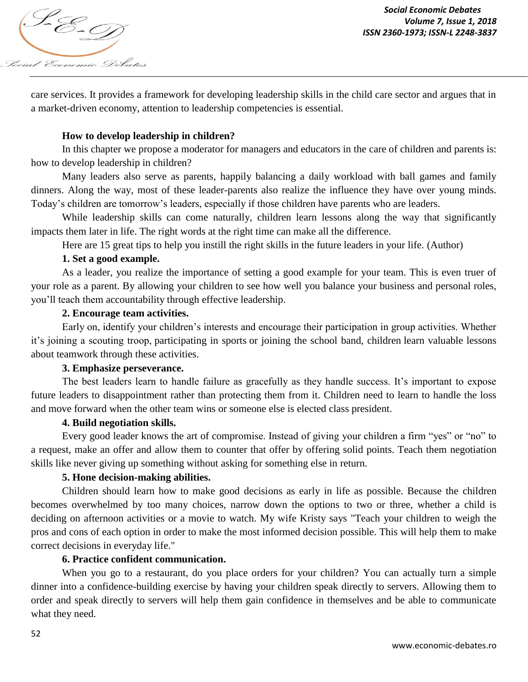

care services. It provides a framework for developing leadership skills in the child care sector and argues that in a market-driven economy, attention to leadership competencies is essential.

### **How to develop leadership in children?**

In this chapter we propose a moderator for managers and educators in the care of children and parents is: how to develop leadership in children?

Many leaders also serve as parents, happily balancing a daily workload with ball games and family dinners. Along the way, most of these leader-parents also realize the influence they have over young minds. Today"s children are tomorrow"s leaders, especially if those children have parents who are leaders.

While leadership skills can come naturally, children learn lessons along the way that significantly impacts them later in life. The right words at the right time can make all the difference.

Here are 15 great tips to help you instill the right skills in the future leaders in your life. (Author)

### **1. Set a good example.**

As a leader, you realize the importance of setting a good example for your team. This is even truer of your role as a parent. By allowing your children to see how well you balance your business and personal roles, you"ll teach them accountability through effective leadership.

#### **2. Encourage team activities.**

Early on, identify your children's interests and encourage their participation in group activities. Whether it's joining a scouting troop, participating in sports or joining the school band, children learn valuable lessons about teamwork through these activities.

#### **3. Emphasize perseverance.**

The best leaders learn to handle failure as gracefully as they handle success. It's important to expose future leaders to disappointment rather than protecting them from it. Children need to learn to handle the loss and move forward when the other team wins or someone else is elected class president.

#### **4. Build negotiation skills.**

Every good leader knows the art of compromise. Instead of giving your children a firm "yes" or "no" to a request, make an offer and allow them to counter that offer by offering solid points. Teach them negotiation skills like never giving up something without asking for something else in return.

#### **5. Hone decision-making abilities.**

Children should learn how to make good decisions as early in life as possible. Because the children becomes overwhelmed by too many choices, narrow down the options to two or three, whether a child is deciding on afternoon activities or a movie to watch. My wife Kristy says "Teach your children to weigh the pros and cons of each option in order to make the most informed decision possible. This will help them to make correct decisions in everyday life."

### **6. Practice confident communication.**

When you go to a restaurant, do you place orders for your children? You can actually turn a simple dinner into a confidence-building exercise by having your children speak directly to servers. Allowing them to order and speak directly to servers will help them gain confidence in themselves and be able to communicate what they need.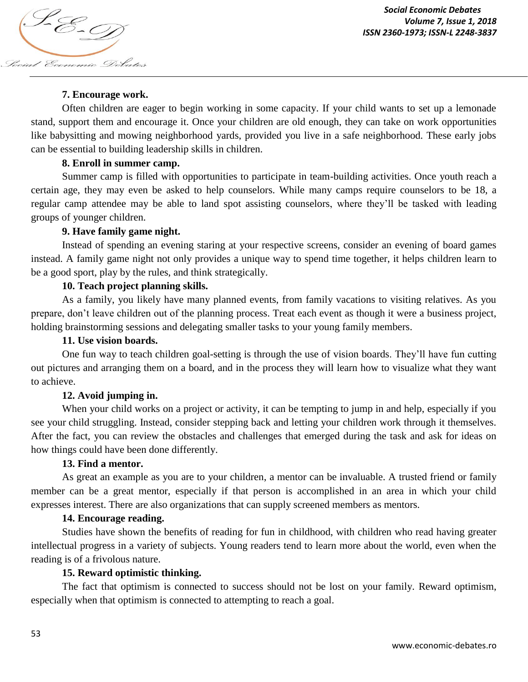

## **7. Encourage work.**

Often children are eager to begin working in some capacity. If your child wants to set up a lemonade stand, support them and encourage it. Once your children are old enough, they can take on work opportunities like babysitting and mowing neighborhood yards, provided you live in a safe neighborhood. These early jobs can be essential to building leadership skills in children.

### **8. Enroll in summer camp.**

Summer camp is filled with opportunities to participate in team-building activities. Once youth reach a certain age, they may even be asked to help counselors. While many camps require counselors to be 18, a regular camp attendee may be able to land spot assisting counselors, where they"ll be tasked with leading groups of younger children.

# **9. Have family game night.**

Instead of spending an evening staring at your respective screens, consider an evening of board games instead. A family game night not only provides a unique way to spend time together, it helps children learn to be a good sport, play by the rules, and think strategically.

### **10. Teach project planning skills.**

As a family, you likely have many planned events, from family vacations to visiting relatives. As you prepare, don"t leave children out of the planning process. Treat each event as though it were a business project, holding brainstorming sessions and delegating smaller tasks to your young family members.

### **11. Use vision boards.**

One fun way to teach children goal-setting is through the use of vision boards. They"ll have fun cutting out pictures and arranging them on a board, and in the process they will learn how to visualize what they want to achieve.

### **12. Avoid jumping in.**

When your child works on a project or activity, it can be tempting to jump in and help, especially if you see your child struggling. Instead, consider stepping back and letting your children work through it themselves. After the fact, you can review the obstacles and challenges that emerged during the task and ask for ideas on how things could have been done differently.

### **13. Find a mentor.**

As great an example as you are to your children, a mentor can be invaluable. A trusted friend or family member can be a great mentor, especially if that person is accomplished in an area in which your child expresses interest. There are also organizations that can supply screened members as mentors.

### **14. Encourage reading.**

Studies have shown the benefits of reading for fun in childhood, with children who read having greater intellectual progress in a variety of subjects. Young readers tend to learn more about the world, even when the reading is of a frivolous nature.

### **15. Reward optimistic thinking.**

The fact that optimism is connected to success should not be lost on your family. Reward optimism, especially when that optimism is connected to attempting to reach a goal.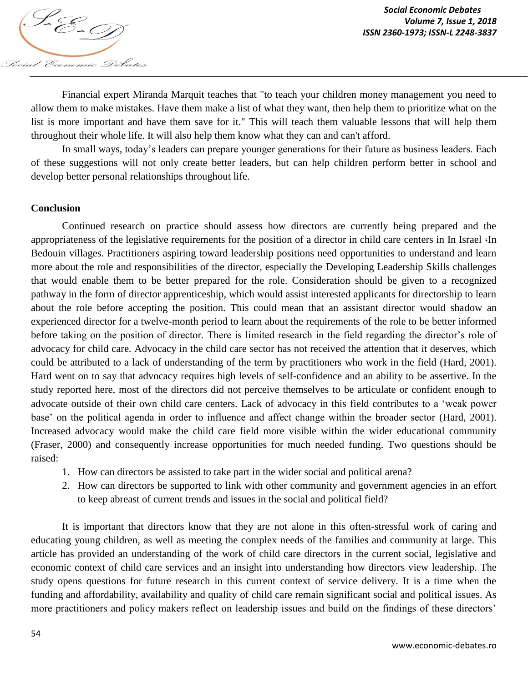

Financial expert Miranda Marquit teaches that "to teach your children money management you need to allow them to make mistakes. Have them make a list of what they want, then help them to prioritize what on the list is more important and have them save for it." This will teach them valuable lessons that will help them throughout their whole life. It will also help them know what they can and can't afford.

In small ways, today"s leaders can prepare younger generations for their future as business leaders. Each of these suggestions will not only create better leaders, but can help children perform better in school and develop better personal relationships throughout life.

#### **Conclusion**

Continued research on practice should assess how directors are currently being prepared and the appropriateness of the legislative requirements for the position of a director in child care centers in In Israel ،In Bedouin villages. Practitioners aspiring toward leadership positions need opportunities to understand and learn more about the role and responsibilities of the director, especially the Developing Leadership Skills challenges that would enable them to be better prepared for the role. Consideration should be given to a recognized pathway in the form of director apprenticeship, which would assist interested applicants for directorship to learn about the role before accepting the position. This could mean that an assistant director would shadow an experienced director for a twelve-month period to learn about the requirements of the role to be better informed before taking on the position of director. There is limited research in the field regarding the director's role of advocacy for child care. Advocacy in the child care sector has not received the attention that it deserves, which could be attributed to a lack of understanding of the term by practitioners who work in the field (Hard, 2001). Hard went on to say that advocacy requires high levels of self-confidence and an ability to be assertive. In the study reported here, most of the directors did not perceive themselves to be articulate or confident enough to advocate outside of their own child care centers. Lack of advocacy in this field contributes to a "weak power base" on the political agenda in order to influence and affect change within the broader sector (Hard, 2001). Increased advocacy would make the child care field more visible within the wider educational community (Fraser, 2000) and consequently increase opportunities for much needed funding. Two questions should be raised:

- 1. How can directors be assisted to take part in the wider social and political arena?
- 2. How can directors be supported to link with other community and government agencies in an effort to keep abreast of current trends and issues in the social and political field?

It is important that directors know that they are not alone in this often-stressful work of caring and educating young children, as well as meeting the complex needs of the families and community at large. This article has provided an understanding of the work of child care directors in the current social, legislative and economic context of child care services and an insight into understanding how directors view leadership. The study opens questions for future research in this current context of service delivery. It is a time when the funding and affordability, availability and quality of child care remain significant social and political issues. As more practitioners and policy makers reflect on leadership issues and build on the findings of these directors'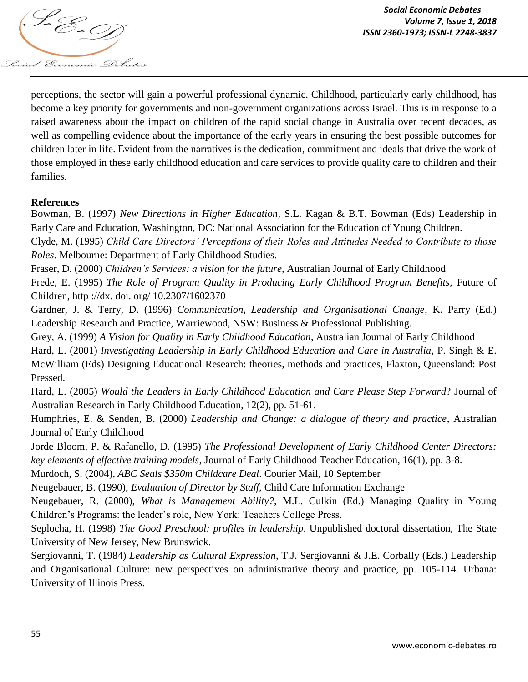

perceptions, the sector will gain a powerful professional dynamic. Childhood, particularly early childhood, has become a key priority for governments and non-government organizations across Israel. This is in response to a raised awareness about the impact on children of the rapid social change in Australia over recent decades, as well as compelling evidence about the importance of the early years in ensuring the best possible outcomes for children later in life. Evident from the narratives is the dedication, commitment and ideals that drive the work of those employed in these early childhood education and care services to provide quality care to children and their families.

#### **References**

Bowman, B. (1997) *New Directions in Higher Education*, S.L. Kagan & B.T. Bowman (Eds) Leadership in Early Care and Education, Washington, DC: National Association for the Education of Young Children.

Clyde, M. (1995) *Child Care Directors' Perceptions of their Roles and Attitudes Needed to Contribute to those Roles*. Melbourne: Department of Early Childhood Studies.

Fraser, D. (2000) *Children's Services: a vision for the future*, Australian Journal of Early Childhood

Frede, E. (1995) *The Role of Program Quality in Producing Early Childhood Program Benefits*, Future of Children, http ://dx. doi. org/ 10.2307/1602370

Gardner, J. & Terry, D. (1996) *Communication, Leadership and Organisational Change*, K. Parry (Ed.) Leadership Research and Practice, Warriewood, NSW: Business & Professional Publishing.

Grey, A. (1999) *A Vision for Quality in Early Childhood Education*, Australian Journal of Early Childhood

Hard, L. (2001) *Investigating Leadership in Early Childhood Education and Care in Australia,* P. Singh & E. McWilliam (Eds) Designing Educational Research: theories, methods and practices, Flaxton, Queensland: Post Pressed.

Hard, L. (2005) *Would the Leaders in Early Childhood Education and Care Please Step Forward*? Journal of Australian Research in Early Childhood Education, 12(2), pp. 51-61.

Humphries, E. & Senden, B. (2000) *Leadership and Change: a dialogue of theory and practice*, Australian Journal of Early Childhood

Jorde Bloom, P. & Rafanello, D. (1995) *The Professional Development of Early Childhood Center Directors: key elements of effective training models*, Journal of Early Childhood Teacher Education, 16(1), pp. 3-8.

Murdoch, S. (2004), *ABC Seals \$350m Childcare Deal*. Courier Mail, 10 September

Neugebauer, B. (1990), *Evaluation of Director by Staff*, Child Care Information Exchange

Neugebauer, R. (2000), *What is Management Ability?*, M.L. Culkin (Ed.) Managing Quality in Young Children"s Programs: the leader"s role, New York: Teachers College Press.

Seplocha, H. (1998) *The Good Preschool: profiles in leadership*. Unpublished doctoral dissertation, The State University of New Jersey, New Brunswick.

Sergiovanni, T. (1984) *Leadership as Cultural Expression*, T.J. Sergiovanni & J.E. Corbally (Eds.) Leadership and Organisational Culture: new perspectives on administrative theory and practice, pp. 105-114. Urbana: University of Illinois Press.